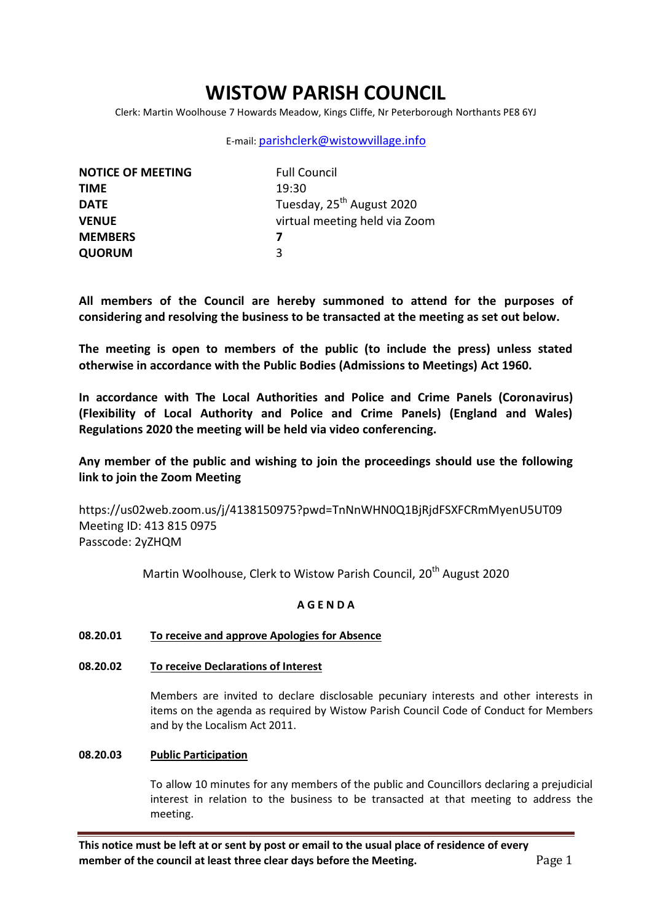# **WISTOW PARISH COUNCIL**

Clerk: Martin Woolhouse 7 Howards Meadow, Kings Cliffe, Nr Peterborough Northants PE8 6YJ

# E-mail: [parishclerk@wistowvillage.info](mailto:parishclerk@wistowvillage.info)

| <b>NOTICE OF MEETING</b> | <b>Full Council</b>                   |
|--------------------------|---------------------------------------|
| <b>TIME</b>              | 19:30                                 |
| <b>DATE</b>              | Tuesday, 25 <sup>th</sup> August 2020 |
| <b>VENUE</b>             | virtual meeting held via Zoom         |
| <b>MEMBERS</b>           | 7                                     |
| <b>QUORUM</b>            | 3                                     |

**All members of the Council are hereby summoned to attend for the purposes of considering and resolving the business to be transacted at the meeting as set out below.**

**The meeting is open to members of the public (to include the press) unless stated otherwise in accordance with the Public Bodies (Admissions to Meetings) Act 1960.**

**In accordance with The Local Authorities and Police and Crime Panels (Coronavirus) (Flexibility of Local Authority and Police and Crime Panels) (England and Wales) Regulations 2020 the meeting will be held via video conferencing.** 

# **Any member of the public and wishing to join the proceedings should use the following link to join the Zoom Meeting**

https://us02web.zoom.us/j/4138150975?pwd=TnNnWHN0Q1BjRjdFSXFCRmMyenU5UT09 Meeting ID: 413 815 0975 Passcode: 2yZHQM

Martin Woolhouse, Clerk to Wistow Parish Council, 20<sup>th</sup> August 2020

# **A G E N D A**

# **08.20.01 To receive and approve Apologies for Absence**

# **08.20.02 To receive Declarations of Interest**

Members are invited to declare disclosable pecuniary interests and other interests in items on the agenda as required by Wistow Parish Council Code of Conduct for Members and by the Localism Act 2011.

# **08.20.03 Public Participation**

To allow 10 minutes for any members of the public and Councillors declaring a prejudicial interest in relation to the business to be transacted at that meeting to address the meeting.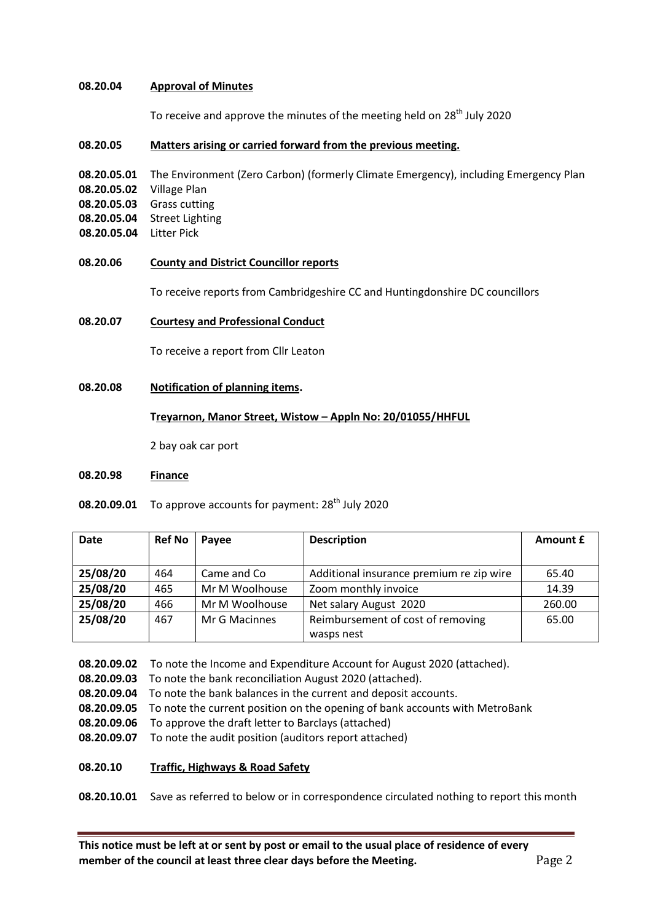### **08.20.04 Approval of Minutes**

To receive and approve the minutes of the meeting held on  $28<sup>th</sup>$  July 2020

#### **08.20.05 Matters arising or carried forward from the previous meeting.**

- **08.20.05.01** The Environment (Zero Carbon) (formerly Climate Emergency), including Emergency Plan
- **08.20.05.02** Village Plan
- **08.20.05.03** Grass cutting
- **08.20.05.04** Street Lighting
- **08.20.05.04** Litter Pick
- **08.20.06 County and District Councillor reports**

To receive reports from Cambridgeshire CC and Huntingdonshire DC councillors

### **08.20.07 Courtesy and Professional Conduct**

To receive a report from Cllr Leaton

**08.20.08 Notification of planning items.**

### **Treyarnon, Manor Street, Wistow – Appln No: 20/01055/HHFUL**

2 bay oak car port

#### **08.20.98 Finance**

**08.20.09.01** To approve accounts for payment: 28<sup>th</sup> July 2020

| <b>Date</b> | <b>Ref No</b> | Payee          | <b>Description</b>                       | Amount £ |
|-------------|---------------|----------------|------------------------------------------|----------|
|             |               |                |                                          |          |
| 25/08/20    | 464           | Came and Co    | Additional insurance premium re zip wire | 65.40    |
| 25/08/20    | 465           | Mr M Woolhouse | Zoom monthly invoice                     | 14.39    |
| 25/08/20    | 466           | Mr M Woolhouse | Net salary August 2020                   | 260.00   |
| 25/08/20    | 467           | Mr G Macinnes  | Reimbursement of cost of removing        | 65.00    |
|             |               |                | wasps nest                               |          |

**08.20.09.02** To note the Income and Expenditure Account for August 2020 (attached).

**08.20.09.03** To note the bank reconciliation August 2020 (attached).

- **08.20.09.04** To note the bank balances in the current and deposit accounts.
- **08.20.09.05** To note the current position on the opening of bank accounts with MetroBank
- **08.20.09.06** To approve the draft letter to Barclays (attached)
- **08.20.09.07** To note the audit position (auditors report attached)
- **08.20.10 Traffic, Highways & Road Safety**

**08.20.10.01** Save as referred to below or in correspondence circulated nothing to report this month